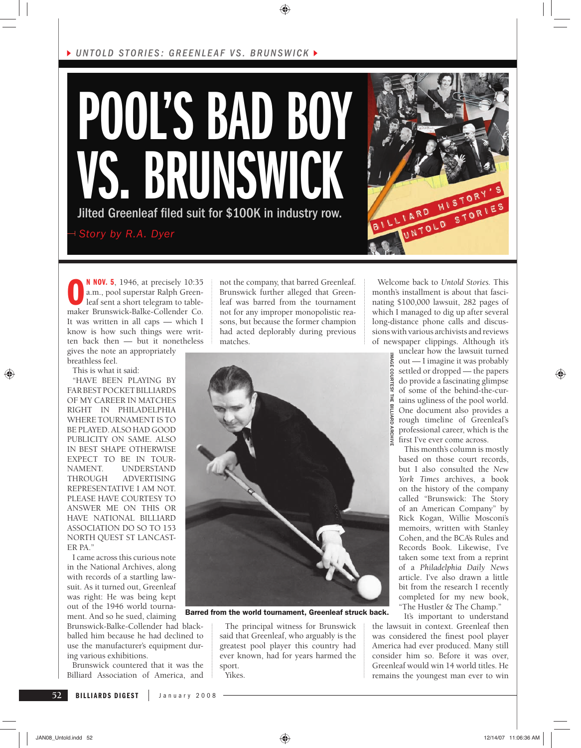



**O**<sup>M</sup> **NOV. 5**, 1946, at precisely 10:35<br>
a.m., pool superstar Ralph Green-<br>
leaf sent a short telegram to table-<br>
maker Brunswick-Balke-Collender Co. **N NOV. 5**, 1946, at precisely 10:35 a.m., pool superstar Ralph Greenleaf sent a short telegram to table-It was written in all caps — which I know is how such things were written back then — but it nonetheless gives the note an appropriately

breathless feel. This is what it said:

"HAVE BEEN PLAYING BY FAR BEST POCKET BILLIARDS OF MY CAREER IN MATCHES RIGHT IN PHILADELPHIA WHERE TOURNAMENT IS TO BE PLAYED. ALSO HAD GOOD PUBLICITY ON SAME. ALSO IN BEST SHAPE OTHERWISE EXPECT TO BE IN TOUR-NAMENT. UNDERSTAND THROUGH ADVERTISING REPRESENTATIVE I AM NOT. PLEASE HAVE COURTESY TO ANSWER ME ON THIS OR HAVE NATIONAL BILLIARD ASSOCIATION DO SO TO 153 NORTH QUEST ST LANCAST-ER PA."

I came across this curious note in the National Archives, along with records of a startling lawsuit. As it turned out, Greenleaf was right: He was being kept out of the 1946 world tournament. And so he sued, claiming

Brunswick-Balke-Collender had blackballed him because he had declined to use the manufacturer's equipment during various exhibitions.

Brunswick countered that it was the Billiard Association of America, and not the company, that barred Greenleaf. Brunswick further alleged that Greenleaf was barred from the tournament not for any improper monopolistic reasons, but because the former champion had acted deplorably during previous matches.



Barred from the world tournament, Greenleaf struck back.

The principal witness for Brunswick said that Greenleaf, who arguably is the greatest pool player this country had ever known, had for years harmed the sport. Yikes.

Welcome back to *Untold Stories.* This month's installment is about that fascinating \$100,000 lawsuit, 282 pages of which I managed to dig up after several long-distance phone calls and discussions with various archivists and reviews of newspaper clippings. Although it's

unclear how the lawsuit turned out — I imagine it was probably settled or dropped — the papers do provide a fascinating glimpse of some of the behind-the-cur-冨 tains ugliness of the pool world. One document also provides a rough timeline of Greenleaf's professional career, which is the first I've ever come across.

IMAGE COURTESY THE BILLIARD ARCHIVE

This month's column is mostly based on those court records, but I also consulted the *New York Times* archives, a book on the history of the company called "Brunswick: The Story of an American Company" by Rick Kogan, Willie Mosconi's memoirs, written with Stanley Cohen, and the BCA's Rules and Records Book. Likewise, I've taken some text from a reprint of a *Philadelphia Daily News*  article. I've also drawn a little bit from the research I recently completed for my new book, "The Hustler & The Champ."

It's important to understand

the lawsuit in context. Greenleaf then was considered the finest pool player America had ever produced. Many still consider him so. Before it was over, Greenleaf would win 14 world titles. He remains the youngest man ever to win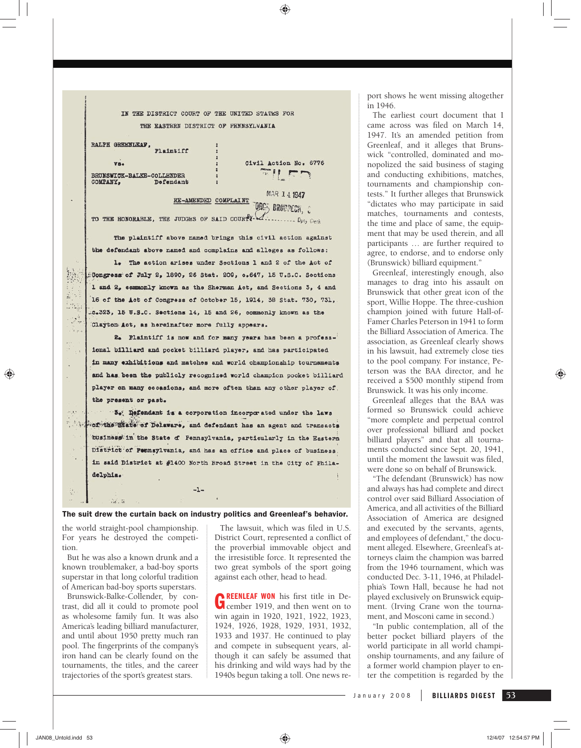IN THE DISTRICT COURT OF THE UNITED STATES FOR THE EASTERN DISTRICT OF PENNSYLVANIA

RALPH GREENLEAF, Plaintiff  $\overline{\mathbf{v}}$ BRUNSWICK-BALKE-COLLENDER

Defendant

COMPANY,

 $\overline{a}$ 

聽

 $\sum_{i=1}^n \gamma_i$ 

 $\frac{1}{2}$ 

 $\mathbb{R}^4$ 

 $\tau_{\rm r}$ 

 $\ddot{\phantom{1}}$ 

 $\frac{1}{2} \frac{1}{2}$ 

Civil Action No. 6776  $\mathbb{Z}$  11  $\mathbb{Z}$ 

MAR 14 1947 RE-AMENDED COMPLAINT ORES BRODDECK, C TO THE HONORABLE, THE JUDGES OF SAID COURTY- 1. Duty Clock

The plaintiff above named brings this civil action against the defendant above named and complains and alleges as follows:

1. The action arises under Sections 1 and 2 of the Act of Congress of July 2, 1890, 26 Stat. 209, c.647, 15 U.S.C. Sections 1 and 2, commonly known as the Sherman Act, and Sections 3, 4 and 16 of the Act of Congress of October 15, 1914, 38 Stat. 730, 731, .c.323, 15 U.S.C. Sections 14, 15 and 26, commonly known as the Clayton Act, as hereinafter more fully appears.

2. Plaintiff is now and for many years has been a professional billiard and pocket billiard player, and has participated in many exhibitions and matches and world championship tournaments and has been the publicly recognized world champion pocket billiard player on many eccasions, and more often than any other player of the present or past.

3. Defendant is a corporation incorporated under the laws 5.534 of the State of Delaware, and defendant has an agent and transacts business in the State of Pennsylvania, particularly in the Eastern District of Pennsylvania, and has an office and place of business in said District at #1400 North Broad Street in the City of Philadelphia.

The suit drew the curtain back on industry politics and Greenleaf's behavior.

 $-1-$ 

the world straight-pool championship. For years he destroyed the competition.

 $\mathcal{M}$ . W

But he was also a known drunk and a known troublemaker, a bad-boy sports superstar in that long colorful tradition of American bad-boy sports superstars.

Brunswick-Balke-Collender, by contrast, did all it could to promote pool as wholesome family fun. It was also America's leading billiard manufacturer, and until about 1950 pretty much ran pool. The fingerprints of the company's iron hand can be clearly found on the tournaments, the titles, and the career trajectories of the sport's greatest stars.

The lawsuit, which was filed in U.S. District Court, represented a conflict of the proverbial immovable object and the irresistible force. It represented the two great symbols of the sport going against each other, head to head.

**GREENLEAF WON** his first title in December 1919, and then went on to win again in 1920, 1921, 1922, 1923, 1924, 1926, 1928, 1929, 1931, 1932, 1933 and 1937. He continued to play and compete in subsequent years, although it can safely be assumed that his drinking and wild ways had by the 1940s begun taking a toll. One news report shows he went missing altogether in 1946.

The earliest court document that I came across was filed on March 14, 1947. It's an amended petition from Greenleaf, and it alleges that Brunswick "controlled, dominated and monopolized the said business of staging and conducting exhibitions, matches, tournaments and championship contests." It further alleges that Brunswick "dictates who may participate in said matches, tournaments and contests, the time and place of same, the equipment that may be used therein, and all participants … are further required to agree, to endorse, and to endorse only (Brunswick) billiard equipment."

Greenleaf, interestingly enough, also manages to drag into his assault on Brunswick that other great icon of the sport, Willie Hoppe. The three-cushion champion joined with future Hall-of-Famer Charles Peterson in 1941 to form the Billiard Association of America. The association, as Greenleaf clearly shows in his lawsuit, had extremely close ties to the pool company. For instance, Peterson was the BAA director, and he received a \$500 monthly stipend from Brunswick. It was his only income.

Greenleaf alleges that the BAA was formed so Brunswick could achieve "more complete and perpetual control over professional billiard and pocket billiard players" and that all tournaments conducted since Sept. 20, 1941, until the moment the lawsuit was filed. were done so on behalf of Brunswick.

"The defendant (Brunswick) has now and always has had complete and direct control over said Billiard Association of America, and all activities of the Billiard Association of America are designed and executed by the servants, agents, and employees of defendant," the document alleged. Elsewhere, Greenleaf's attorneys claim the champion was barred from the 1946 tournament, which was conducted Dec. 3-11, 1946, at Philadelphia's Town Hall, because he had not played exclusively on Brunswick equipment. (Irving Crane won the tournament, and Mosconi came in second.)

"In public contemplation, all of the better pocket billiard players of the world participate in all world championship tournaments, and any failure of a former world champion player to enter the competition is regarded by the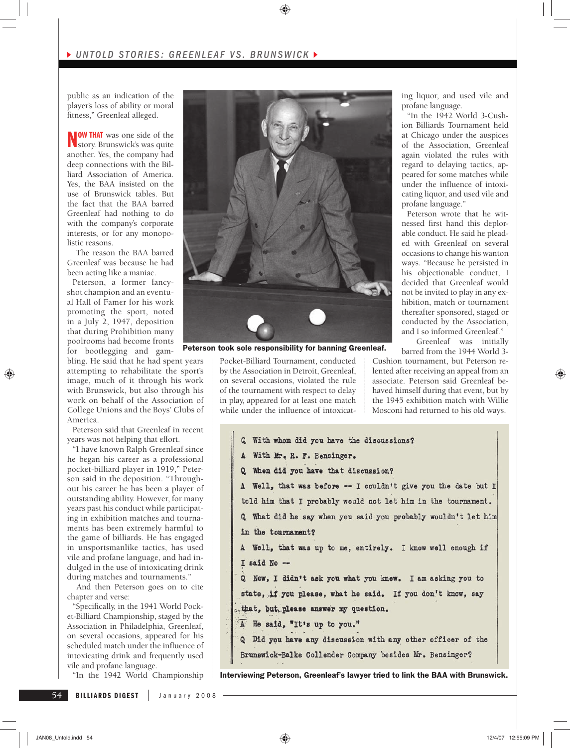public as an indication of the player's loss of ability or moral fitness," Greenleaf alleged.

**NOW THAT** was one side of the story. Brunswick's was quite another. Yes, the company had deep connections with the Billiard Association of America. Yes, the BAA insisted on the use of Brunswick tables. But the fact that the BAA barred Greenleaf had nothing to do with the company's corporate interests, or for any monopolistic reasons.

 The reason the BAA barred Greenleaf was because he had been acting like a maniac.

Peterson, a former fancyshot champion and an eventual Hall of Famer for his work promoting the sport, noted in a July 2, 1947, deposition that during Prohibition many poolrooms had become fronts for bootlegging and gam-

bling. He said that he had spent years attempting to rehabilitate the sport's image, much of it through his work with Brunswick, but also through his work on behalf of the Association of College Unions and the Boys' Clubs of America.

Peterson said that Greenleaf in recent years was not helping that effort.

"I have known Ralph Greenleaf since he began his career as a professional pocket-billiard player in 1919," Peterson said in the deposition. "Throughout his career he has been a player of outstanding ability. However, for many years past his conduct while participating in exhibition matches and tournaments has been extremely harmful to the game of billiards. He has engaged in unsportsmanlike tactics, has used vile and profane language, and had indulged in the use of intoxicating drink during matches and tournaments."

 And then Peterson goes on to cite chapter and verse:

"Specifically, in the 1941 World Pocket-Billiard Championship, staged by the Association in Philadelphia, Greenleaf, on several occasions, appeared for his scheduled match under the influence of intoxicating drink and frequently used vile and profane language.

"In the 1942 World Championship



Peterson took sole responsibility for banning Greenleaf.

Pocket-Billiard Tournament, conducted by the Association in Detroit, Greenleaf, on several occasions, violated the rule of the tournament with respect to delay in play, appeared for at least one match while under the influence of intoxicating liquor, and used vile and profane language.

"In the 1942 World 3-Cushion Billiards Tournament held at Chicago under the auspices of the Association, Greenleaf again violated the rules with regard to delaying tactics, appeared for some matches while under the influence of intoxicating liquor, and used vile and profane language."

Peterson wrote that he witnessed first hand this deplorable conduct. He said he pleaded with Greenleaf on several occasions to change his wanton ways. "Because he persisted in his objectionable conduct, I decided that Greenleaf would not be invited to play in any exhibition, match or tournament thereafter sponsored, staged or conducted by the Association, and I so informed Greenleaf."

 Greenleaf was initially barred from the 1944 World 3-

Cushion tournament, but Peterson relented after receiving an appeal from an associate. Peterson said Greenleaf behaved himself during that event, but by the 1945 exhibition match with Willie Mosconi had returned to his old ways.

```
Q With whom did you have the discussions?
A With Mr. R. F. Bensinger.
Q When did you have that discussion?
A Well, that was before -- I couldn't give you the date but I
told him that I probably would not let him in the tournament.
Q What did he say when you said you probably wouldn't let him
in the tournament?
A Well, that was up to me, entirely. I know well enough if
I said No --
Q Now, I didn't ask you what you knew. I am asking you to
state, if you please, what he said. If you don't know, say
that, but please answer my question.
A He said, "It's up to you."
Q Did you have any discussion with any other officer of the
Brunswick-Balke Collender Company besides Mr. Bensinger?
```
Interviewing Peterson, Greenleaf's lawyer tried to link the BAA with Brunswick.